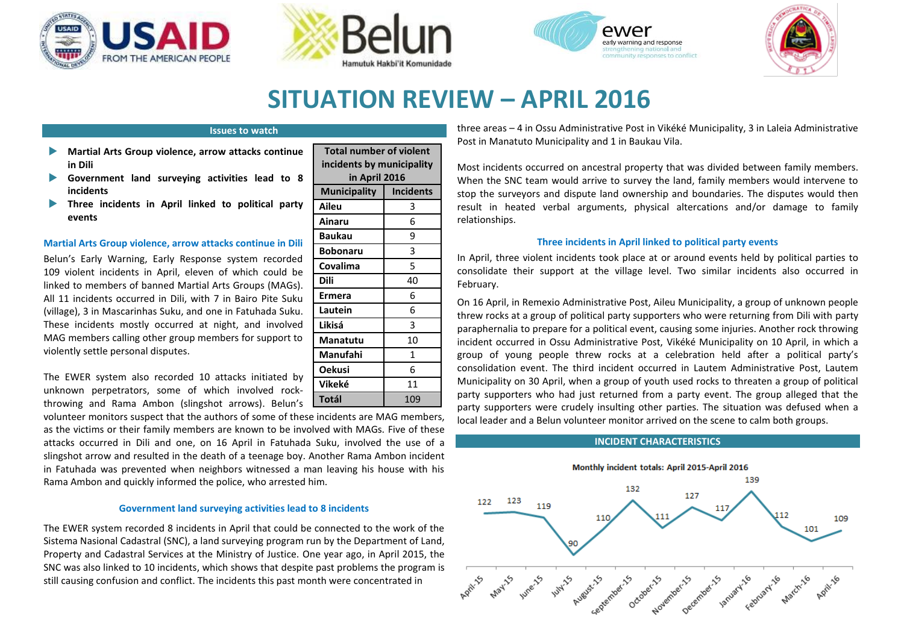



**Total number incidents by in Apri Municipality** 

**Ermera** 6 **Lautein** 6 **Likisá** 3 **Manatutu** 10 **Manufahi** 1 **Oekusi** 6 **Vikeké** 11 **Totál** 109

**Aileu** 3 **Ainaru** 6 **Baukau Bobonaru Covalima** 5 **Dili** 





# **SITUATION REVIEW – APRIL 2016**

### **Issues to watch**

- **Martial Arts Group violence, arrow attacks continue in Dili**
- **Government land surveying activities lead to 8 incidents**
- **Three incidents in April linked to political party events**

## **Martial Arts Group violence, arrow attacks continue in Dili**

Belun's Early Warning, Early Response system recorded 109 violent incidents in April, eleven of which could be linked to members of banned Martial Arts Groups (MAGs). All 11 incidents occurred in Dili, with 7 in Bairo Pite Suku (village), 3 in Mascarinhas Suku, and one in Fatuhada Suku. These incidents mostly occurred at night, and involved MAG members calling other group members for support to violently settle personal disputes.

The EWER system also recorded 10 attacks initiated by unknown perpetrators, some of which involved rockthrowing and Rama Ambon (slingshot arrows). Belun's

volunteer monitors suspect that the authors of some of these incidents are MAG members, as the victims or their family members are known to be involved with MAGs. Five of these attacks occurred in Dili and one, on 16 April in Fatuhada Suku, involved the use of a slingshot arrow and resulted in the death of a teenage boy. Another Rama Ambon incident in Fatuhada was prevented when neighbors witnessed a man leaving his house with his Rama Ambon and quickly informed the police, who arrested him.

#### **Government land surveying activities lead to 8 incidents**

The EWER system recorded 8 incidents in April that could be connected to the work of the Sistema Nasional Cadastral (SNC), a land surveying program run by the Department of Land, Property and Cadastral Services at the Ministry of Justice. One year ago, in April 2015, the SNC was also linked to 10 incidents, which shows that despite past problems the program is still causing confusion and conflict. The incidents this past month were concentrated in

|                                         |                  | Post in Manatuto Municipality and<br>Most incidents occurred on ancest<br>When the SNC team would arrive                                                                                                   |
|-----------------------------------------|------------------|------------------------------------------------------------------------------------------------------------------------------------------------------------------------------------------------------------|
| er of violent<br>municipality<br>  2016 |                  |                                                                                                                                                                                                            |
|                                         | <b>Incidents</b> | stop the surveyors and dispute lar<br>result in heated verbal argume<br>relationships.<br><b>Three incidents i</b><br>In April, three violent incidents to<br>consolidate their support at the<br>Fahruary |
|                                         | 3                |                                                                                                                                                                                                            |
|                                         | 6                |                                                                                                                                                                                                            |
|                                         | ٩                |                                                                                                                                                                                                            |
|                                         | 3                |                                                                                                                                                                                                            |
|                                         | 5                |                                                                                                                                                                                                            |
|                                         | 40               |                                                                                                                                                                                                            |

three areas – 4 in Ossu Administrative Post in Vikéké Municipality, 3 in Laleia Administrative 1 in Baukau Vila.

tral property that was divided between family members. to survey the land, family members would intervene to nd ownership and boundaries. The disputes would then nts, physical altercations and/or damage to family

## **Theorry** *April linked to political party events*

ok place at or around events held by political parties to village level. Two similar incidents also occurred in February.

On 16 April, in Remexio Administrative Post, Aileu Municipality, a group of unknown people threw rocks at a group of political party supporters who were returning from Dili with party paraphernalia to prepare for a political event, causing some injuries. Another rock throwing incident occurred in Ossu Administrative Post, Vikéké Municipality on 10 April, in which a group of young people threw rocks at a celebration held after a political party's consolidation event. The third incident occurred in Lautem Administrative Post, Lautem Municipality on 30 April, when a group of youth used rocks to threaten a group of political party supporters who had just returned from a party event. The group alleged that the party supporters were crudely insulting other parties. The situation was defused when a local leader and a Belun volunteer monitor arrived on the scene to calm both groups.

## **INCIDENT CHARACTERISTICS**

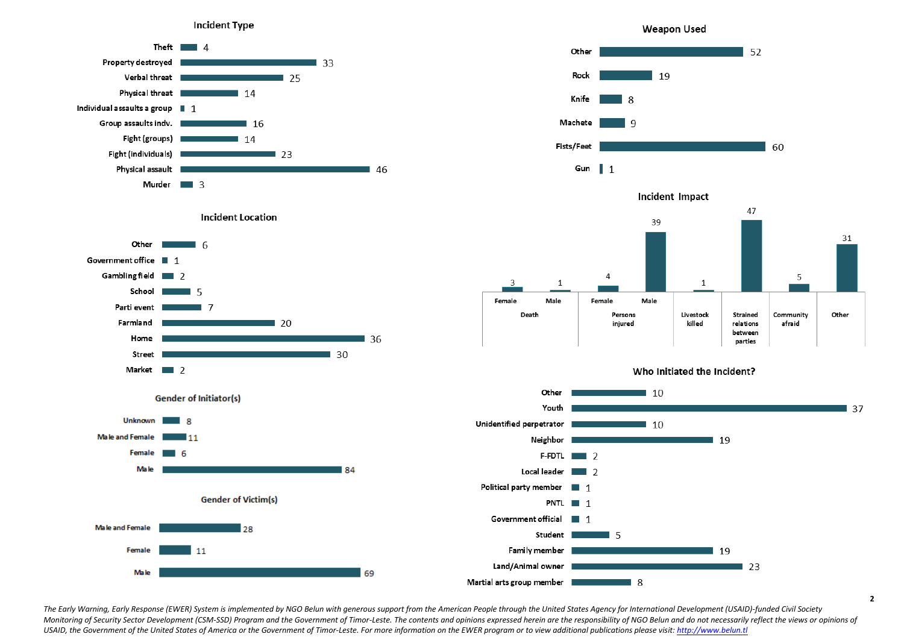



**Incident Location** 







Incident Impact



Who Initiated the Incident?



The Early Warning, Early Response (EWER) System is implemented by NGO Belun with generous support from the American People through the United States Agency for International Development (USAID)-funded Civil Society Monitoring of Security Sector Development (CSM-SSD) Program and the Government of Timor-Leste. The contents and opinions expressed herein are the responsibility of NGO Belun and do not necessarily reflect the views or opin *USAID, the Government of the United States of America or the Government of Timor-Leste. For more information on the EWER program or to view additional publications please visit: http://www.belun.tl*